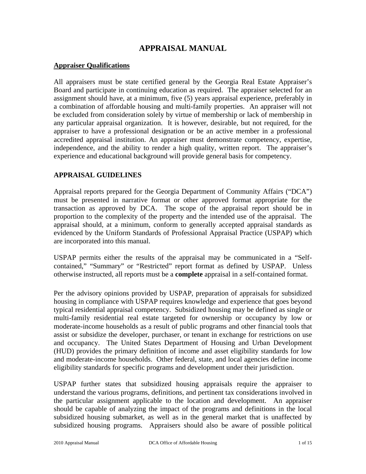# **APPRAISAL MANUAL**

#### **Appraiser Qualifications**

All appraisers must be state certified general by the Georgia Real Estate Appraiser's Board and participate in continuing education as required. The appraiser selected for an assignment should have, at a minimum, five (5) years appraisal experience, preferably in a combination of affordable housing and multi-family properties. An appraiser will not be excluded from consideration solely by virtue of membership or lack of membership in any particular appraisal organization. It is however, desirable, but not required, for the appraiser to have a professional designation or be an active member in a professional accredited appraisal institution. An appraiser must demonstrate competency, expertise, independence, and the ability to render a high quality, written report. The appraiser's experience and educational background will provide general basis for competency.

#### **APPRAISAL GUIDELINES**

Appraisal reports prepared for the Georgia Department of Community Affairs ("DCA") must be presented in narrative format or other approved format appropriate for the transaction as approved by DCA. The scope of the appraisal report should be in proportion to the complexity of the property and the intended use of the appraisal. The appraisal should, at a minimum, conform to generally accepted appraisal standards as evidenced by the Uniform Standards of Professional Appraisal Practice (USPAP) which are incorporated into this manual.

USPAP permits either the results of the appraisal may be communicated in a "Selfcontained," "Summary" or "Restricted" report format as defined by USPAP. Unless otherwise instructed, all reports must be a **complete** appraisal in a self-contained format.

Per the advisory opinions provided by USPAP, preparation of appraisals for subsidized housing in compliance with USPAP requires knowledge and experience that goes beyond typical residential appraisal competency. Subsidized housing may be defined as single or multi-family residential real estate targeted for ownership or occupancy by low or moderate-income households as a result of public programs and other financial tools that assist or subsidize the developer, purchaser, or tenant in exchange for restrictions on use and occupancy. The United States Department of Housing and Urban Development (HUD) provides the primary definition of income and asset eligibility standards for low and moderate-income households. Other federal, state, and local agencies define income eligibility standards for specific programs and development under their jurisdiction.

USPAP further states that subsidized housing appraisals require the appraiser to understand the various programs, definitions, and pertinent tax considerations involved in the particular assignment applicable to the location and development. An appraiser should be capable of analyzing the impact of the programs and definitions in the local subsidized housing submarket, as well as in the general market that is unaffected by subsidized housing programs. Appraisers should also be aware of possible political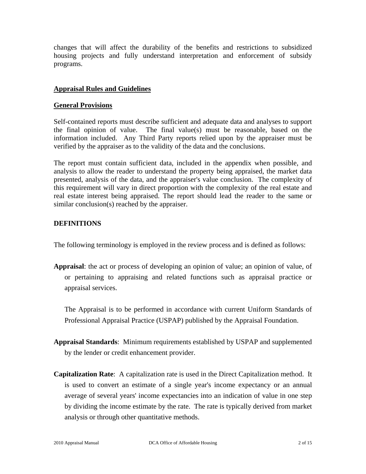changes that will affect the durability of the benefits and restrictions to subsidized housing projects and fully understand interpretation and enforcement of subsidy programs.

### **Appraisal Rules and Guidelines**

#### **General Provisions**

Self-contained reports must describe sufficient and adequate data and analyses to support the final opinion of value. The final value(s) must be reasonable, based on the information included. Any Third Party reports relied upon by the appraiser must be verified by the appraiser as to the validity of the data and the conclusions.

The report must contain sufficient data, included in the appendix when possible, and analysis to allow the reader to understand the property being appraised, the market data presented, analysis of the data, and the appraiser's value conclusion. The complexity of this requirement will vary in direct proportion with the complexity of the real estate and real estate interest being appraised. The report should lead the reader to the same or similar conclusion(s) reached by the appraiser.

## **DEFINITIONS**

The following terminology is employed in the review process and is defined as follows:

**Appraisal**: the act or process of developing an opinion of value; an opinion of value, of or pertaining to appraising and related functions such as appraisal practice or appraisal services.

 The Appraisal is to be performed in accordance with current Uniform Standards of Professional Appraisal Practice (USPAP) published by the Appraisal Foundation.

- **Appraisal Standards**: Minimum requirements established by USPAP and supplemented by the lender or credit enhancement provider.
- **Capitalization Rate**: A capitalization rate is used in the Direct Capitalization method. It is used to convert an estimate of a single year's income expectancy or an annual average of several years' income expectancies into an indication of value in one step by dividing the income estimate by the rate. The rate is typically derived from market analysis or through other quantitative methods.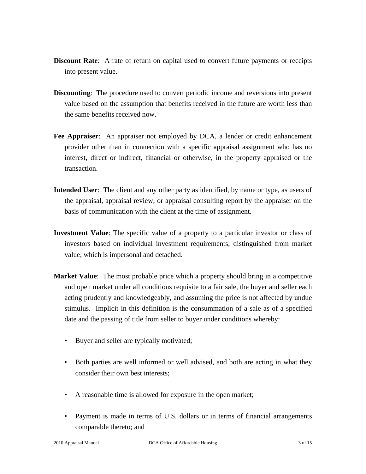- **Discount Rate:** A rate of return on capital used to convert future payments or receipts into present value.
- **Discounting:** The procedure used to convert periodic income and reversions into present value based on the assumption that benefits received in the future are worth less than the same benefits received now.
- **Fee Appraiser**: An appraiser not employed by DCA, a lender or credit enhancement provider other than in connection with a specific appraisal assignment who has no interest, direct or indirect, financial or otherwise, in the property appraised or the transaction.
- **Intended User**: The client and any other party as identified, by name or type, as users of the appraisal, appraisal review, or appraisal consulting report by the appraiser on the basis of communication with the client at the time of assignment.
- **Investment Value**: The specific value of a property to a particular investor or class of investors based on individual investment requirements; distinguished from market value, which is impersonal and detached.
- **Market Value**: The most probable price which a property should bring in a competitive and open market under all conditions requisite to a fair sale, the buyer and seller each acting prudently and knowledgeably, and assuming the price is not affected by undue stimulus. Implicit in this definition is the consummation of a sale as of a specified date and the passing of title from seller to buyer under conditions whereby:
	- Buyer and seller are typically motivated;
	- Both parties are well informed or well advised, and both are acting in what they consider their own best interests;
	- A reasonable time is allowed for exposure in the open market;
	- Payment is made in terms of U.S. dollars or in terms of financial arrangements comparable thereto; and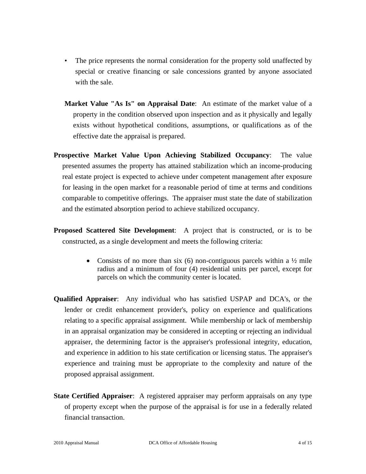- The price represents the normal consideration for the property sold unaffected by special or creative financing or sale concessions granted by anyone associated with the sale.
- **Market Value "As Is" on Appraisal Date**: An estimate of the market value of a property in the condition observed upon inspection and as it physically and legally exists without hypothetical conditions, assumptions, or qualifications as of the effective date the appraisal is prepared.
- **Prospective Market Value Upon Achieving Stabilized Occupancy**: The value presented assumes the property has attained stabilization which an income-producing real estate project is expected to achieve under competent management after exposure for leasing in the open market for a reasonable period of time at terms and conditions comparable to competitive offerings. The appraiser must state the date of stabilization and the estimated absorption period to achieve stabilized occupancy.
- **Proposed Scattered Site Development**: A project that is constructed, or is to be constructed, as a single development and meets the following criteria:
	- Consists of no more than six (6) non-contiguous parcels within a  $\frac{1}{2}$  mile radius and a minimum of four (4) residential units per parcel, except for parcels on which the community center is located.
- **Qualified Appraiser**: Any individual who has satisfied USPAP and DCA's, or the lender or credit enhancement provider's, policy on experience and qualifications relating to a specific appraisal assignment. While membership or lack of membership in an appraisal organization may be considered in accepting or rejecting an individual appraiser, the determining factor is the appraiser's professional integrity, education, and experience in addition to his state certification or licensing status. The appraiser's experience and training must be appropriate to the complexity and nature of the proposed appraisal assignment.
- **State Certified Appraiser**: A registered appraiser may perform appraisals on any type of property except when the purpose of the appraisal is for use in a federally related financial transaction.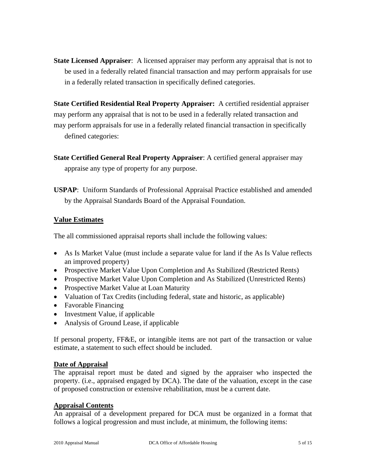**State Licensed Appraiser**: A licensed appraiser may perform any appraisal that is not to be used in a federally related financial transaction and may perform appraisals for use in a federally related transaction in specifically defined categories.

**State Certified Residential Real Property Appraiser:** A certified residential appraiser may perform any appraisal that is not to be used in a federally related transaction and may perform appraisals for use in a federally related financial transaction in specifically defined categories:

- **State Certified General Real Property Appraiser**: A certified general appraiser may appraise any type of property for any purpose.
- **USPAP**: Uniform Standards of Professional Appraisal Practice established and amended by the Appraisal Standards Board of the Appraisal Foundation.

## **Value Estimates**

The all commissioned appraisal reports shall include the following values:

- As Is Market Value (must include a separate value for land if the As Is Value reflects an improved property)
- Prospective Market Value Upon Completion and As Stabilized (Restricted Rents)
- Prospective Market Value Upon Completion and As Stabilized (Unrestricted Rents)
- Prospective Market Value at Loan Maturity
- Valuation of Tax Credits (including federal, state and historic, as applicable)
- Favorable Financing
- Investment Value, if applicable
- Analysis of Ground Lease, if applicable

If personal property, FF&E, or intangible items are not part of the transaction or value estimate, a statement to such effect should be included.

## **Date of Appraisal**

The appraisal report must be dated and signed by the appraiser who inspected the property. (i.e., appraised engaged by DCA). The date of the valuation, except in the case of proposed construction or extensive rehabilitation, must be a current date.

#### **Appraisal Contents**

An appraisal of a development prepared for DCA must be organized in a format that follows a logical progression and must include, at minimum, the following items: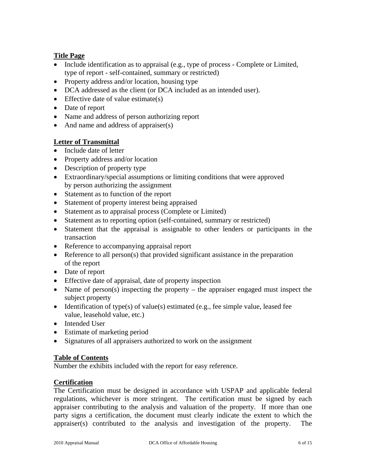## **Title Page**

- Include identification as to appraisal (e.g., type of process Complete or Limited, type of report - self-contained, summary or restricted)
- Property address and/or location, housing type
- DCA addressed as the client (or DCA included as an intended user).
- Effective date of value estimate(s)
- Date of report
- Name and address of person authorizing report
- And name and address of appraiser(s)

## **Letter of Transmittal**

- Include date of letter
- Property address and/or location
- Description of property type
- Extraordinary/special assumptions or limiting conditions that were approved by person authorizing the assignment
- Statement as to function of the report
- Statement of property interest being appraised
- Statement as to appraisal process (Complete or Limited)
- Statement as to reporting option (self-contained, summary or restricted)
- Statement that the appraisal is assignable to other lenders or participants in the transaction
- Reference to accompanying appraisal report
- Reference to all person(s) that provided significant assistance in the preparation of the report
- Date of report
- Effective date of appraisal, date of property inspection
- Name of person(s) inspecting the property the appraiser engaged must inspect the subject property
- Identification of type(s) of value(s) estimated (e.g., fee simple value, leased fee value, leasehold value, etc.)
- Intended User
- Estimate of marketing period
- Signatures of all appraisers authorized to work on the assignment

## **Table of Contents**

Number the exhibits included with the report for easy reference.

## **Certification**

The Certification must be designed in accordance with USPAP and applicable federal regulations, whichever is more stringent. The certification must be signed by each appraiser contributing to the analysis and valuation of the property. If more than one party signs a certification, the document must clearly indicate the extent to which the appraiser(s) contributed to the analysis and investigation of the property. The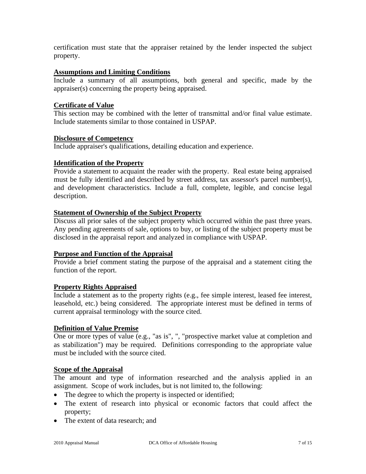certification must state that the appraiser retained by the lender inspected the subject property.

### **Assumptions and Limiting Conditions**

Include a summary of all assumptions, both general and specific, made by the appraiser(s) concerning the property being appraised.

## **Certificate of Value**

This section may be combined with the letter of transmittal and/or final value estimate. Include statements similar to those contained in USPAP.

#### **Disclosure of Competency**

Include appraiser's qualifications, detailing education and experience.

## **Identification of the Property**

Provide a statement to acquaint the reader with the property. Real estate being appraised must be fully identified and described by street address, tax assessor's parcel number(s), and development characteristics. Include a full, complete, legible, and concise legal description.

## **Statement of Ownership of the Subject Property**

Discuss all prior sales of the subject property which occurred within the past three years. Any pending agreements of sale, options to buy, or listing of the subject property must be disclosed in the appraisal report and analyzed in compliance with USPAP.

#### **Purpose and Function of the Appraisal**

Provide a brief comment stating the purpose of the appraisal and a statement citing the function of the report.

#### **Property Rights Appraised**

Include a statement as to the property rights (e.g., fee simple interest, leased fee interest, leasehold, etc.) being considered. The appropriate interest must be defined in terms of current appraisal terminology with the source cited.

#### **Definition of Value Premise**

One or more types of value (e.g., "as is", ", "prospective market value at completion and as stabilization") may be required. Definitions corresponding to the appropriate value must be included with the source cited.

#### **Scope of the Appraisal**

The amount and type of information researched and the analysis applied in an assignment. Scope of work includes, but is not limited to, the following:

- The degree to which the property is inspected or identified;
- The extent of research into physical or economic factors that could affect the property;
- The extent of data research; and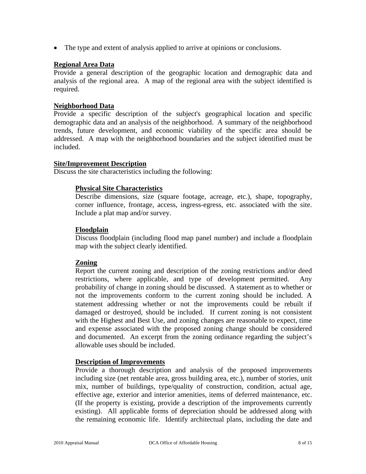• The type and extent of analysis applied to arrive at opinions or conclusions.

#### **Regional Area Data**

Provide a general description of the geographic location and demographic data and analysis of the regional area. A map of the regional area with the subject identified is required.

### **Neighborhood Data**

Provide a specific description of the subject's geographical location and specific demographic data and an analysis of the neighborhood. A summary of the neighborhood trends, future development, and economic viability of the specific area should be addressed. A map with the neighborhood boundaries and the subject identified must be included.

#### **Site/Improvement Description**

Discuss the site characteristics including the following:

#### **Physical Site Characteristics**

Describe dimensions, size (square footage, acreage, etc.), shape, topography, corner influence, frontage, access, ingress-egress, etc. associated with the site. Include a plat map and/or survey.

#### **Floodplain**

Discuss floodplain (including flood map panel number) and include a floodplain map with the subject clearly identified.

#### **Zoning**

Report the current zoning and description of the zoning restrictions and/or deed restrictions, where applicable, and type of development permitted. Any probability of change in zoning should be discussed. A statement as to whether or not the improvements conform to the current zoning should be included. A statement addressing whether or not the improvements could be rebuilt if damaged or destroyed, should be included. If current zoning is not consistent with the Highest and Best Use, and zoning changes are reasonable to expect, time and expense associated with the proposed zoning change should be considered and documented. An excerpt from the zoning ordinance regarding the subject's allowable uses should be included.

#### **Description of Improvements**

Provide a thorough description and analysis of the proposed improvements including size (net rentable area, gross building area, etc.), number of stories, unit mix, number of buildings, type/quality of construction, condition, actual age, effective age, exterior and interior amenities, items of deferred maintenance, etc. (If the property is existing, provide a description of the improvements currently existing). All applicable forms of depreciation should be addressed along with the remaining economic life. Identify architectual plans, including the date and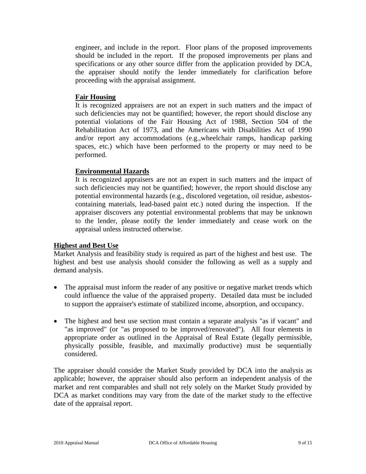engineer, and include in the report. Floor plans of the proposed improvements should be included in the report. If the proposed improvements per plans and specifications or any other source differ from the application provided by DCA, the appraiser should notify the lender immediately for clarification before proceeding with the appraisal assignment.

#### **Fair Housing**

It is recognized appraisers are not an expert in such matters and the impact of such deficiencies may not be quantified; however, the report should disclose any potential violations of the Fair Housing Act of 1988, Section 504 of the Rehabilitation Act of 1973, and the Americans with Disabilities Act of 1990 and/or report any accommodations (e.g.,wheelchair ramps, handicap parking spaces, etc.) which have been performed to the property or may need to be performed.

## **Environmental Hazards**

It is recognized appraisers are not an expert in such matters and the impact of such deficiencies may not be quantified; however, the report should disclose any potential environmental hazards (e.g., discolored vegetation, oil residue, asbestoscontaining materials, lead-based paint etc.) noted during the inspection. If the appraiser discovers any potential environmental problems that may be unknown to the lender, please notify the lender immediately and cease work on the appraisal unless instructed otherwise.

#### **Highest and Best Use**

Market Analysis and feasibility study is required as part of the highest and best use. The highest and best use analysis should consider the following as well as a supply and demand analysis.

- The appraisal must inform the reader of any positive or negative market trends which could influence the value of the appraised property. Detailed data must be included to support the appraiser's estimate of stabilized income, absorption, and occupancy.
- The highest and best use section must contain a separate analysis "as if vacant" and "as improved" (or "as proposed to be improved/renovated"). All four elements in appropriate order as outlined in the Appraisal of Real Estate (legally permissible, physically possible, feasible, and maximally productive) must be sequentially considered.

The appraiser should consider the Market Study provided by DCA into the analysis as applicable; however, the appraiser should also perform an independent analysis of the market and rent comparables and shall not rely solely on the Market Study provided by DCA as market conditions may vary from the date of the market study to the effective date of the appraisal report.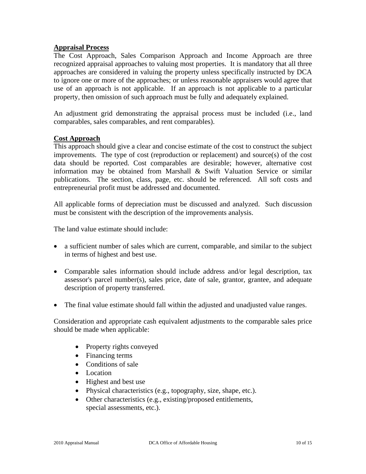#### **Appraisal Process**

The Cost Approach, Sales Comparison Approach and Income Approach are three recognized appraisal approaches to valuing most properties. It is mandatory that all three approaches are considered in valuing the property unless specifically instructed by DCA to ignore one or more of the approaches; or unless reasonable appraisers would agree that use of an approach is not applicable. If an approach is not applicable to a particular property, then omission of such approach must be fully and adequately explained.

An adjustment grid demonstrating the appraisal process must be included (i.e., land comparables, sales comparables, and rent comparables).

#### **Cost Approach**

This approach should give a clear and concise estimate of the cost to construct the subject improvements. The type of cost (reproduction or replacement) and source(s) of the cost data should be reported. Cost comparables are desirable; however, alternative cost information may be obtained from Marshall & Swift Valuation Service or similar publications. The section, class, page, etc. should be referenced. All soft costs and entrepreneurial profit must be addressed and documented.

All applicable forms of depreciation must be discussed and analyzed. Such discussion must be consistent with the description of the improvements analysis.

The land value estimate should include:

- a sufficient number of sales which are current, comparable, and similar to the subject in terms of highest and best use.
- Comparable sales information should include address and/or legal description, tax assessor's parcel number(s), sales price, date of sale, grantor, grantee, and adequate description of property transferred.
- The final value estimate should fall within the adjusted and unadjusted value ranges.

Consideration and appropriate cash equivalent adjustments to the comparable sales price should be made when applicable:

- Property rights conveyed
- Financing terms
- Conditions of sale
- Location
- Highest and best use
- Physical characteristics (e.g., topography, size, shape, etc.).
- Other characteristics (e.g., existing/proposed entitlements, special assessments, etc.).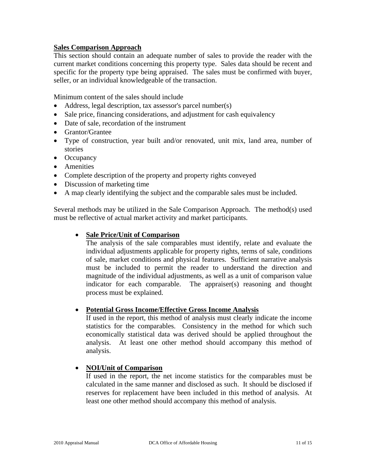## **Sales Comparison Approach**

This section should contain an adequate number of sales to provide the reader with the current market conditions concerning this property type. Sales data should be recent and specific for the property type being appraised. The sales must be confirmed with buyer, seller, or an individual knowledgeable of the transaction.

Minimum content of the sales should include

- Address, legal description, tax assessor's parcel number(s)
- Sale price, financing considerations, and adjustment for cash equivalency
- Date of sale, recordation of the instrument
- Grantor/Grantee
- Type of construction, year built and/or renovated, unit mix, land area, number of stories
- Occupancy
- Amenities
- Complete description of the property and property rights conveyed
- Discussion of marketing time
- A map clearly identifying the subject and the comparable sales must be included.

Several methods may be utilized in the Sale Comparison Approach. The method(s) used must be reflective of actual market activity and market participants.

#### • **Sale Price/Unit of Comparison**

The analysis of the sale comparables must identify, relate and evaluate the individual adjustments applicable for property rights, terms of sale, conditions of sale, market conditions and physical features. Sufficient narrative analysis must be included to permit the reader to understand the direction and magnitude of the individual adjustments, as well as a unit of comparison value indicator for each comparable. The appraiser(s) reasoning and thought process must be explained.

#### • **Potential Gross Income/Effective Gross Income Analysis**

If used in the report, this method of analysis must clearly indicate the income statistics for the comparables. Consistency in the method for which such economically statistical data was derived should be applied throughout the analysis. At least one other method should accompany this method of analysis.

#### • **NOI/Unit of Comparison**

If used in the report, the net income statistics for the comparables must be calculated in the same manner and disclosed as such. It should be disclosed if reserves for replacement have been included in this method of analysis. At least one other method should accompany this method of analysis.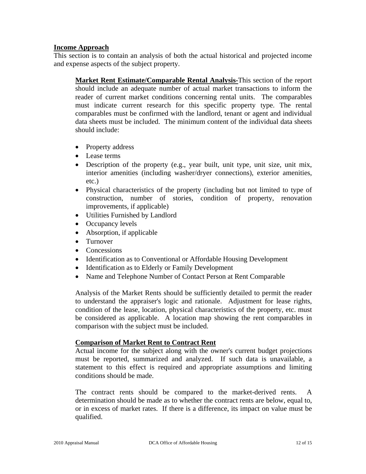### **Income Approach**

This section is to contain an analysis of both the actual historical and projected income and expense aspects of the subject property.

**Market Rent Estimate/Comparable Rental Analysis-**This section of the report should include an adequate number of actual market transactions to inform the reader of current market conditions concerning rental units. The comparables must indicate current research for this specific property type. The rental comparables must be confirmed with the landlord, tenant or agent and individual data sheets must be included. The minimum content of the individual data sheets should include:

- Property address
- Lease terms
- Description of the property (e.g., year built, unit type, unit size, unit mix, interior amenities (including washer/dryer connections), exterior amenities, etc.)
- Physical characteristics of the property (including but not limited to type of construction, number of stories, condition of property, renovation improvements, if applicable)
- Utilities Furnished by Landlord
- Occupancy levels
- Absorption, if applicable
- Turnover
- Concessions
- Identification as to Conventional or Affordable Housing Development
- Identification as to Elderly or Family Development
- Name and Telephone Number of Contact Person at Rent Comparable

Analysis of the Market Rents should be sufficiently detailed to permit the reader to understand the appraiser's logic and rationale. Adjustment for lease rights, condition of the lease, location, physical characteristics of the property, etc. must be considered as applicable. A location map showing the rent comparables in comparison with the subject must be included.

#### **Comparison of Market Rent to Contract Rent**

Actual income for the subject along with the owner's current budget projections must be reported, summarized and analyzed. If such data is unavailable, a statement to this effect is required and appropriate assumptions and limiting conditions should be made.

The contract rents should be compared to the market-derived rents. A determination should be made as to whether the contract rents are below, equal to, or in excess of market rates. If there is a difference, its impact on value must be qualified.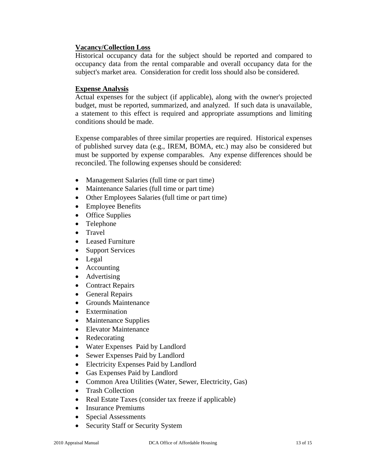### **Vacancy/Collection Loss**

Historical occupancy data for the subject should be reported and compared to occupancy data from the rental comparable and overall occupancy data for the subject's market area. Consideration for credit loss should also be considered.

### **Expense Analysis**

Actual expenses for the subject (if applicable), along with the owner's projected budget, must be reported, summarized, and analyzed. If such data is unavailable, a statement to this effect is required and appropriate assumptions and limiting conditions should be made.

Expense comparables of three similar properties are required. Historical expenses of published survey data (e.g., IREM, BOMA, etc.) may also be considered but must be supported by expense comparables. Any expense differences should be reconciled. The following expenses should be considered:

- Management Salaries (full time or part time)
- Maintenance Salaries (full time or part time)
- Other Employees Salaries (full time or part time)
- Employee Benefits
- Office Supplies
- Telephone
- Travel
- Leased Furniture
- Support Services
- Legal
- Accounting
- Advertising
- Contract Repairs
- General Repairs
- Grounds Maintenance
- Extermination
- Maintenance Supplies
- Elevator Maintenance
- Redecorating
- Water Expenses Paid by Landlord
- Sewer Expenses Paid by Landlord
- Electricity Expenses Paid by Landlord
- Gas Expenses Paid by Landlord
- Common Area Utilities (Water, Sewer, Electricity, Gas)
- Trash Collection
- Real Estate Taxes (consider tax freeze if applicable)
- Insurance Premiums
- Special Assessments
- Security Staff or Security System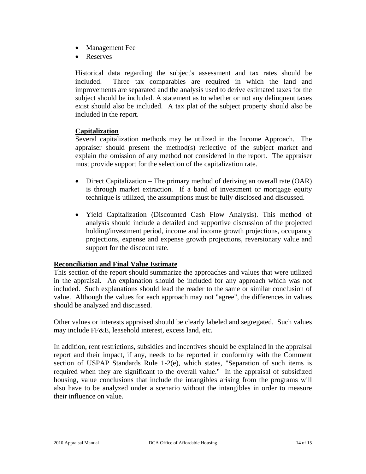- Management Fee
- Reserves

Historical data regarding the subject's assessment and tax rates should be included. Three tax comparables are required in which the land and improvements are separated and the analysis used to derive estimated taxes for the subject should be included. A statement as to whether or not any delinquent taxes exist should also be included. A tax plat of the subject property should also be included in the report.

#### **Capitalization**

Several capitalization methods may be utilized in the Income Approach. The appraiser should present the method(s) reflective of the subject market and explain the omission of any method not considered in the report. The appraiser must provide support for the selection of the capitalization rate.

- Direct Capitalization The primary method of deriving an overall rate (OAR) is through market extraction. If a band of investment or mortgage equity technique is utilized, the assumptions must be fully disclosed and discussed.
- Yield Capitalization (Discounted Cash Flow Analysis). This method of analysis should include a detailed and supportive discussion of the projected holding/investment period, income and income growth projections, occupancy projections, expense and expense growth projections, reversionary value and support for the discount rate.

#### **Reconciliation and Final Value Estimate**

This section of the report should summarize the approaches and values that were utilized in the appraisal. An explanation should be included for any approach which was not included. Such explanations should lead the reader to the same or similar conclusion of value. Although the values for each approach may not "agree", the differences in values should be analyzed and discussed.

Other values or interests appraised should be clearly labeled and segregated. Such values may include FF&E, leasehold interest, excess land, etc.

In addition, rent restrictions, subsidies and incentives should be explained in the appraisal report and their impact, if any, needs to be reported in conformity with the Comment section of USPAP Standards Rule 1-2(e), which states, "Separation of such items is required when they are significant to the overall value." In the appraisal of subsidized housing, value conclusions that include the intangibles arising from the programs will also have to be analyzed under a scenario without the intangibles in order to measure their influence on value.